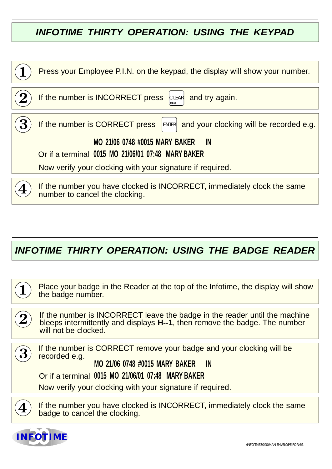# *INFOTIME THIRTY OPERATION: USING THE KEYPAD*

| Press your Employee P.I.N. on the keypad, the display will show your number.                              |
|-----------------------------------------------------------------------------------------------------------|
|                                                                                                           |
| If the number is INCORRECT press<br>and try again.<br>CLEAR                                               |
|                                                                                                           |
| If the number is CORRECT press<br>ENTER and your clocking will be recorded e.g.                           |
| <b>MO 21/06 0748 #0015 MARY BAKER</b><br><b>IN</b>                                                        |
| Or if a terminal 0015 MO 21/06/01 07:48 MARY BAKER                                                        |
|                                                                                                           |
| Now verify your clocking with your signature if required.                                                 |
|                                                                                                           |
| If the number you have clocked is INCORRECT, immediately clock the same<br>number to cancel the clocking. |

# *INFOTIME THIRTY OPERATION: USING THE BADGE READER*

Place your badge in the Reader at the top of the Infotime, the display will show the badge number.

If the number is INCORRECT leave the badge in the reader until the machine bleeps intermittently and displays H--1, then remove the badge. The number will not be clocked.

If the number is CORRECT remove your badge and your clocking will be recorded e.g.

### **MO 21/06 0748 #0015 MARY BAKER IN**

#### Or if a terminal **0015 MO 21/06/01 07:48 MARY BAKER**

Now verify your clocking with your signature if required.

3

If the number you have clocked is INCORRECT, immediately clock the same badge to cancel the clocking.

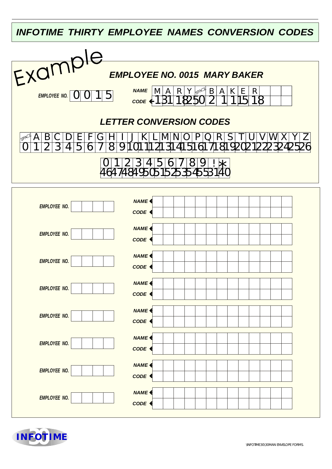*INFOTIME THIRTY EMPLOYEE NAMES CONVERSION CODES*



| <b>EMPLOYEE NO.</b> | NAME <sup></sup>                      |
|---------------------|---------------------------------------|
|                     | CODE <                                |
| <b>EMPLOYEE NO.</b> | NAME <sup></sup><br>CODE <sup>4</sup> |
|                     | NAME <sup></sup>                      |
| <b>EMPLOYEE NO.</b> | CODE <                                |
| <b>EMPLOYEE NO.</b> | NAME <sup></sup>                      |
|                     | CODE <                                |
| <b>EMPLOYEE NO.</b> | NAME <sup></sup><br>CODE <            |
| <b>EMPLOYEE NO.</b> | NAME <sup></sup>                      |
|                     | CODE <sup>4</sup>                     |
| <b>EMPLOYEE NO.</b> | NAME <sup></sup><br>CODE <            |
|                     | NAME <sup></sup>                      |
| <b>EMPLOYEE NO.</b> | CODE <                                |
|                     |                                       |

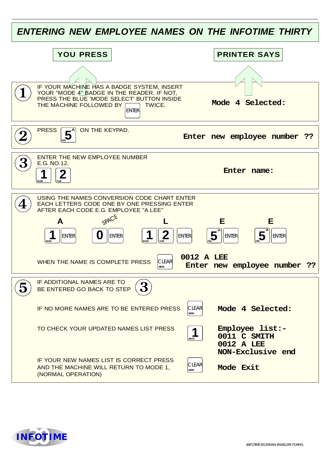| ENTERING NEW EMPLOYEE NAMES ON THE INFOTIME THIRTY |                                                                                                                                                                                                                                                                                                                            |                                                                             |  |  |
|----------------------------------------------------|----------------------------------------------------------------------------------------------------------------------------------------------------------------------------------------------------------------------------------------------------------------------------------------------------------------------------|-----------------------------------------------------------------------------|--|--|
|                                                    | <b>YOU PRESS</b>                                                                                                                                                                                                                                                                                                           | <b>PRINTER SAYS</b>                                                         |  |  |
|                                                    | IF YOUR MACHINE HAS A BADGE SYSTEM, INSERT<br>YOUR "MODE 4" BADGE IN THE READER. IF NOT,<br>PRESS THE BLUE 'MODE SELECT' BUTTON INSIDE<br>THE MACHINE FOLLOWED BY<br>TWICE.<br><b>ENTER</b>                                                                                                                                | Mode 4 Selected:                                                            |  |  |
|                                                    | ON THE KEYPAD.<br><b>PRESS</b>                                                                                                                                                                                                                                                                                             | Enter new employee number<br>- ??                                           |  |  |
|                                                    | <b>ENTER THE NEW EMPLOYEE NUMBER</b><br>E.G. NO.12.<br>Z<br><b>MON</b><br><b>TUE</b>                                                                                                                                                                                                                                       | Enter name:                                                                 |  |  |
|                                                    | USING THE NAMES CONVERSION CODE CHART ENTER<br>EACH LETTERS CODE ONE BY ONE PRESSING ENTER<br>AFTER EACH CODE E.G. EMPLOYEE "A LEE"<br>SPACE<br>A<br>I)<br><b>ENTER</b><br><b>ENTER</b><br><b>ENTER</b><br><b>MON</b><br>TUE<br><b>IMON</b><br>0012 A LEE<br>WHEN THE NAME IS COMPLETE PRESS<br><b>CLEAR</b><br><b>MEM</b> | E<br>Е<br>5<br><b>ENTER</b><br><b>ENTER</b><br>Enter new employee number ?? |  |  |
|                                                    | IF ADDITIONAL NAMES ARE TO<br>BE ENTERED GO BACK TO STEP<br><b>CLEAR</b><br>IF NO MORE NAMES ARE TO BE ENTERED PRESS<br><b>MEM</b>                                                                                                                                                                                         | Mode 4 Selected:                                                            |  |  |
|                                                    | TO CHECK YOUR UPDATED NAMES LIST PRESS<br>1<br><b>MON</b>                                                                                                                                                                                                                                                                  | Employee list:-<br>0011 C SMITH<br>0012 A LEE<br>NON-Exclusive end          |  |  |
|                                                    | IF YOUR NEW NAMES LIST IS CORRECT PRESS<br><b>CLEAR</b><br>AND THE MACHINE WILL RETURN TO MODE 1,<br><b>MEM</b><br>(NORMAL OPERATION)                                                                                                                                                                                      | Mode Exit                                                                   |  |  |

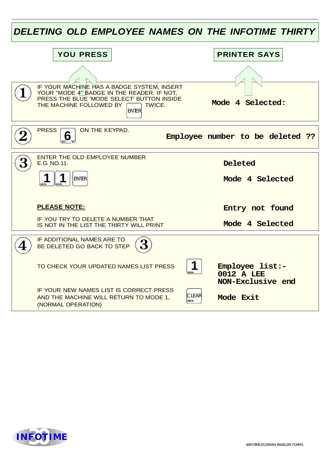| DELETING OLD EMPLOYEE NAMES ON THE INFOTIME THIRTY |                                                                                                                                                                                             |                                                    |  |  |
|----------------------------------------------------|---------------------------------------------------------------------------------------------------------------------------------------------------------------------------------------------|----------------------------------------------------|--|--|
|                                                    | <b>YOU PRESS</b>                                                                                                                                                                            | <b>PRINTER SAYS</b>                                |  |  |
|                                                    |                                                                                                                                                                                             |                                                    |  |  |
|                                                    | IF YOUR MACHINE HAS A BADGE SYSTEM, INSERT<br>YOUR "MODE 4" BADGE IN THE READER. IF NOT,<br>PRESS THE BLUE 'MODE SELECT' BUTTON INSIDE<br>THE MACHINE FOLLOWED BY<br>TWICE.<br><b>ENTER</b> | Mode 4 Selected:                                   |  |  |
|                                                    | <b>PRESS</b><br>ON THE KEYPAD.<br>$\overline{\mathbf{6}}$ <sub>SAT</sub>                                                                                                                    | Employee number to be deleted ??                   |  |  |
|                                                    | ENTER THE OLD EMPLOYEE NUMBER<br>E.G. NO.11.                                                                                                                                                | <b>Deleted</b>                                     |  |  |
|                                                    | 1<br><b>ENTER</b><br><b>MON</b><br><b>MON</b>                                                                                                                                               | Mode 4 Selected                                    |  |  |
|                                                    | <b>PLEASE NOTE:</b>                                                                                                                                                                         | Entry not found                                    |  |  |
|                                                    | IF YOU TRY TO DELETE A NUMBER THAT<br>IS NOT IN THE LIST THE THIRTY WILL PRINT                                                                                                              | Mode 4 Selected                                    |  |  |
|                                                    | IF ADDITIONAL NAMES ARE TO<br>BE DELETED GO BACK TO STEP                                                                                                                                    |                                                    |  |  |
|                                                    | TO CHECK YOUR UPDATED NAMES LIST PRESS<br><b>MON</b>                                                                                                                                        | Employee list:-<br>0012 A LEE<br>NON-Exclusive end |  |  |
|                                                    | IF YOUR NEW NAMES LIST IS CORRECT PRESS<br><b>CLEAR</b><br>AND THE MACHINE WILL RETURN TO MODE 1,<br><b>MEM</b><br>(NORMAL OPERATION)                                                       | Mode Exit                                          |  |  |